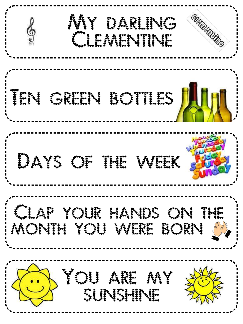**CONTRACTOR** My parling S Clementine Clementin TEN GREEN BOTTLES JAIN Days of the wing Clap your hands the word in month you winn born @ You and my sunshine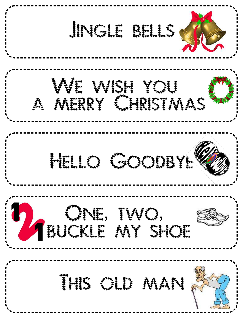Jingle Bells We wing you a merry Christmas HELLO GOODBYER One two your buckle my shoe with This old man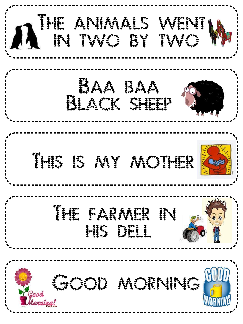| AIIE<br>HE ANIMALS WENTING   |
|------------------------------|
| SAA BAA                      |
| Bunga Kiti<br>i (espe)       |
| II.<br><b>E</b> Alexandr     |
| MORNING"<br>Good<br>lornina! |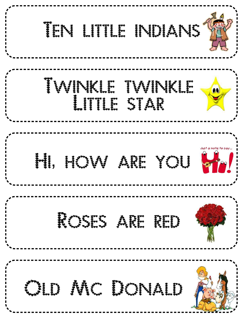| W.<br>INI)IANI                              |
|---------------------------------------------|
| <b>Seeses</b><br>WENE TVINE<br>00           |
| Just a note to say<br>HUW<br>YOS !!<br>A.   |
| Rivert Apr Prin                             |
| RIC III NALI<br>r <sup>oose</sup><br>George |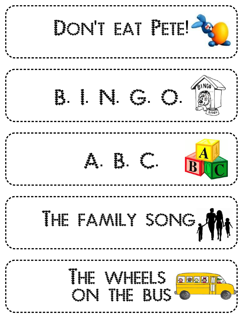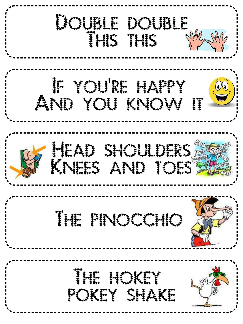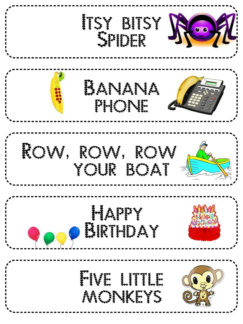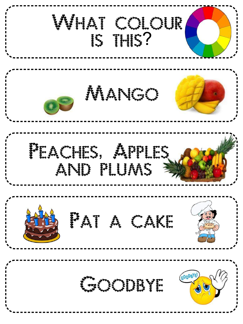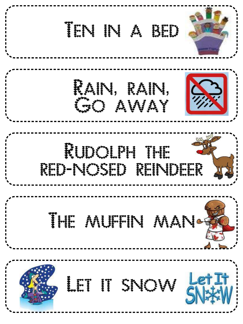| <b>Burger</b><br>و گھڻو<br>وفيائي |
|-----------------------------------|
| RAIN.<br>$\mathbf{H}$<br>AWAY     |
| RUPY NIPY THE<br>n print i print  |
| MURINI MANI-                      |
| SNOV<br>$rac{1}{3}$               |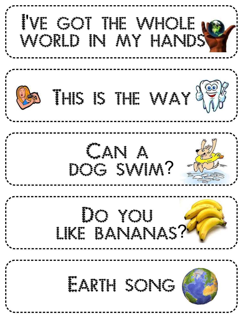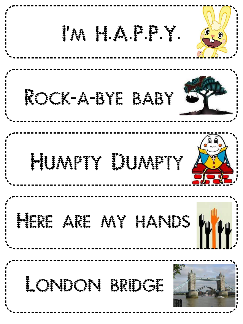| !!! !! !! !! !! !!<br>$\bullet$      |
|--------------------------------------|
| Roman - A-BYT BABY                   |
| 圆圆<br>Muntry Illina                  |
| ARE NIV HANDES<br>$\mathbf{H}^{\mu}$ |
| 199999<br>ese.<br>i                  |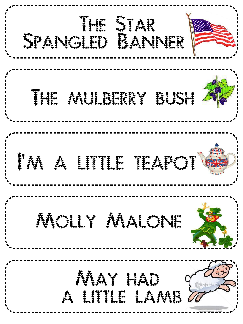| III SINGLE<br>Conduction and         |
|--------------------------------------|
| HLURPHY RULP                         |
| <b>199999</b><br><b>Biji</b><br>J.J. |
| NOLLY NALONE                         |
| NW HAD                               |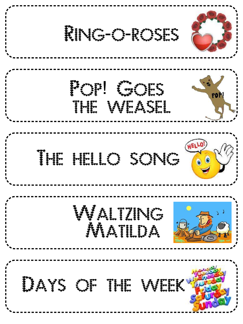Ring o roses - Charles Conte Pop Goes in The WEAST THE HELLO SONG SO Waltzing Matilda Days of the week